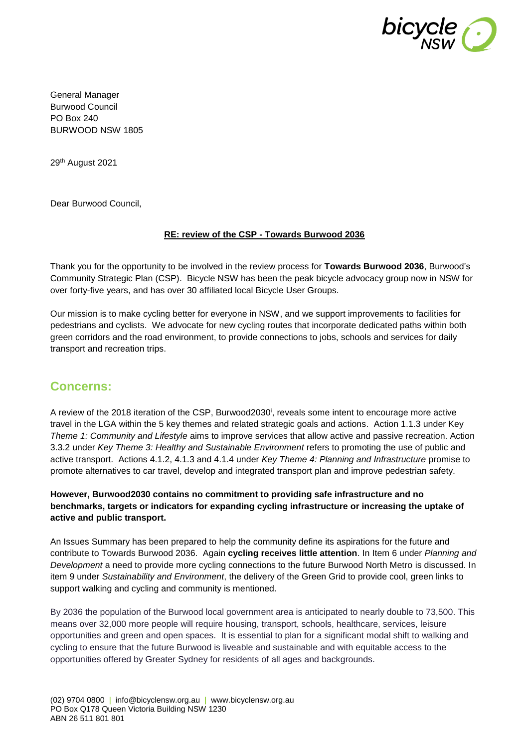

General Manager Burwood Council PO Box 240 BURWOOD NSW 1805

29th August 2021

Dear Burwood Council,

#### **RE: review of the CSP - Towards Burwood 2036**

Thank you for the opportunity to be involved in the review process for **Towards Burwood 2036**, Burwood's Community Strategic Plan (CSP). Bicycle NSW has been the peak bicycle advocacy group now in NSW for over forty-five years, and has over 30 affiliated local Bicycle User Groups.

Our mission is to make cycling better for everyone in NSW, and we support improvements to facilities for pedestrians and cyclists. We advocate for new cycling routes that incorporate dedicated paths within both green corridors and the road environment, to provide connections to jobs, schools and services for daily transport and recreation trips.

# **Concerns:**

A review of the 2018 iteration of the CSP, Burwood2030<sup>i</sup>, reveals some intent to encourage more active travel in the LGA within the 5 key themes and related strategic goals and actions. Action 1.1.3 under Key *Theme 1: Community and Lifestyle* aims to improve services that allow active and passive recreation. Action 3.3.2 under *Key Theme 3: Healthy and Sustainable Environment* refers to promoting the use of public and active transport. Actions 4.1.2, 4.1.3 and 4.1.4 under *Key Theme 4: Planning and Infrastructure* promise to promote alternatives to car travel, develop and integrated transport plan and improve pedestrian safety.

**However, Burwood2030 contains no commitment to providing safe infrastructure and no benchmarks, targets or indicators for expanding cycling infrastructure or increasing the uptake of active and public transport.**

An Issues Summary has been prepared to help the community define its aspirations for the future and contribute to Towards Burwood 2036. Again **cycling receives little attention**. In Item 6 under *Planning and Development* a need to provide more cycling connections to the future Burwood North Metro is discussed. In item 9 under *Sustainability and Environment*, the delivery of the Green Grid to provide cool, green links to support walking and cycling and community is mentioned.

By 2036 the population of the Burwood local government area is anticipated to nearly double to 73,500. This means over 32,000 more people will require housing, transport, schools, healthcare, services, leisure opportunities and green and open spaces. It is essential to plan for a significant modal shift to walking and cycling to ensure that the future Burwood is liveable and sustainable and with equitable access to the opportunities offered by Greater Sydney for residents of all ages and backgrounds.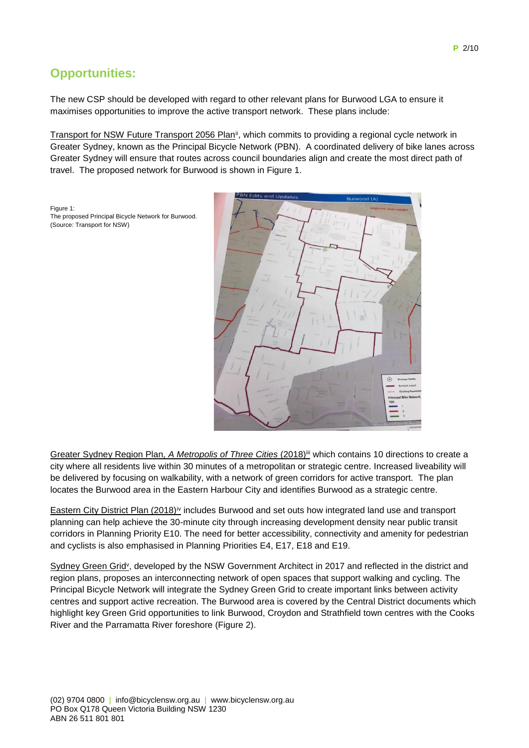# **Opportunities:**

The proposed Principal Bicycle Network for Burwood.

Figure 1:

(Source: Transport for NSW)

The new CSP should be developed with regard to other relevant plans for Burwood LGA to ensure it maximises opportunities to improve the active transport network. These plans include:

Transport for NSW Future Transport 2056 Planii, which commits to providing a regional cycle network in Greater Sydney, known as the Principal Bicycle Network (PBN). A coordinated delivery of bike lanes across Greater Sydney will ensure that routes across council boundaries align and create the most direct path of travel. The proposed network for Burwood is shown in Figure 1.



Greater Sydney Region Plan, A Metropolis of Three Cities (2018)<sup>ii</sup> which contains 10 directions to create a city where all residents live within 30 minutes of a metropolitan or strategic centre. Increased liveability will be delivered by focusing on walkability, with a network of green corridors for active transport. The plan locates the Burwood area in the Eastern Harbour City and identifies Burwood as a strategic centre.

Eastern City District Plan (2018)iv includes Burwood and set outs how integrated land use and transport planning can help achieve the 30-minute city through increasing development density near public transit corridors in Planning Priority E10. The need for better accessibility, connectivity and amenity for pedestrian and cyclists is also emphasised in Planning Priorities E4, E17, E18 and E19.

Sydney Green Grid<sup>y</sup>, developed by the NSW Government Architect in 2017 and reflected in the district and region plans, proposes an interconnecting network of open spaces that support walking and cycling. The Principal Bicycle Network will integrate the Sydney Green Grid to create important links between activity centres and support active recreation. The Burwood area is covered by the Central District documents which highlight key Green Grid opportunities to link Burwood, Croydon and Strathfield town centres with the Cooks River and the Parramatta River foreshore (Figure 2).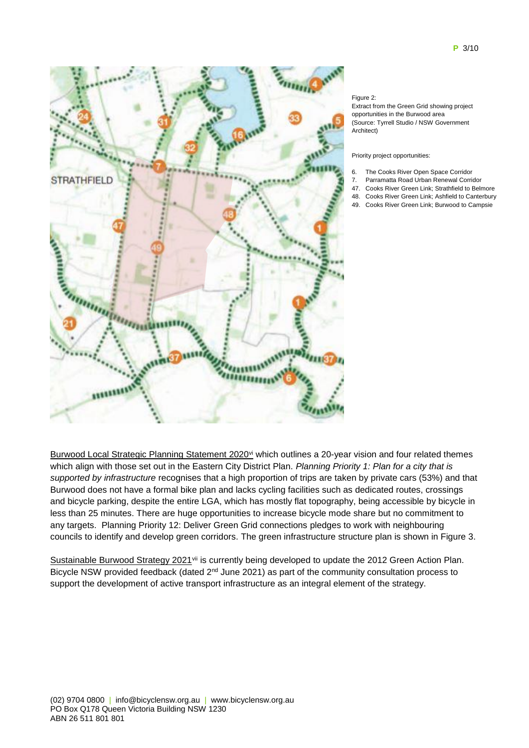

#### Figure 2:

Extract from the Green Grid showing project opportunities in the Burwood area (Source: Tyrrell Studio / NSW Government Architect)

Priority project opportunities:

- 6. The Cooks River Open Space Corridor
- 7. Parramatta Road Urban Renewal Corridor
- 47. Cooks River Green Link; Strathfield to Belmore
- 48. Cooks River Green Link; Ashfield to Canterbury
- 49. Cooks River Green Link; Burwood to Campsie

Burwood Local Strategic Planning Statement 2020<sup>vi</sup> which outlines a 20-year vision and four related themes which align with those set out in the Eastern City District Plan. *Planning Priority 1: Plan for a city that is supported by infrastructure* recognises that a high proportion of trips are taken by private cars (53%) and that Burwood does not have a formal bike plan and lacks cycling facilities such as dedicated routes, crossings and bicycle parking, despite the entire LGA, which has mostly flat topography, being accessible by bicycle in less than 25 minutes. There are huge opportunities to increase bicycle mode share but no commitment to any targets. Planning Priority 12: Deliver Green Grid connections pledges to work with neighbouring councils to identify and develop green corridors. The green infrastructure structure plan is shown in Figure 3.

Sustainable Burwood Strategy 2021<sup>vii</sup> is currently being developed to update the 2012 Green Action Plan. Bicycle NSW provided feedback (dated 2<sup>nd</sup> June 2021) as part of the community consultation process to support the development of active transport infrastructure as an integral element of the strategy.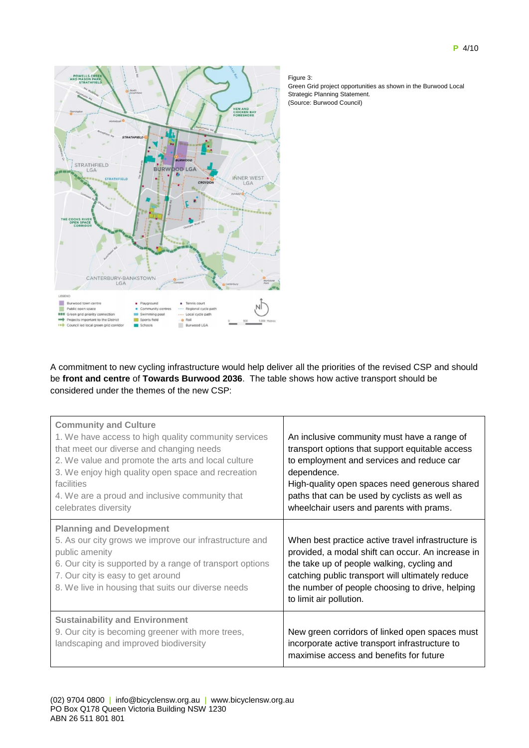

#### Figure 3:

Green Grid project opportunities as shown in the Burwood Local Strategic Planning Statement. (Source: Burwood Council)

A commitment to new cycling infrastructure would help deliver all the priorities of the revised CSP and should be **front and centre** of **Towards Burwood 2036**. The table shows how active transport should be considered under the themes of the new CSP:

| <b>Community and Culture</b><br>1. We have access to high quality community services<br>that meet our diverse and changing needs<br>2. We value and promote the arts and local culture<br>3. We enjoy high quality open space and recreation<br>facilities<br>4. We are a proud and inclusive community that<br>celebrates diversity | An inclusive community must have a range of<br>transport options that support equitable access<br>to employment and services and reduce car<br>dependence.<br>High-quality open spaces need generous shared<br>paths that can be used by cyclists as well as<br>wheelchair users and parents with prams. |
|--------------------------------------------------------------------------------------------------------------------------------------------------------------------------------------------------------------------------------------------------------------------------------------------------------------------------------------|----------------------------------------------------------------------------------------------------------------------------------------------------------------------------------------------------------------------------------------------------------------------------------------------------------|
| <b>Planning and Development</b>                                                                                                                                                                                                                                                                                                      | When best practice active travel infrastructure is                                                                                                                                                                                                                                                       |
| 5. As our city grows we improve our infrastructure and                                                                                                                                                                                                                                                                               | provided, a modal shift can occur. An increase in                                                                                                                                                                                                                                                        |
| public amenity                                                                                                                                                                                                                                                                                                                       | the take up of people walking, cycling and                                                                                                                                                                                                                                                               |
| 6. Our city is supported by a range of transport options                                                                                                                                                                                                                                                                             | catching public transport will ultimately reduce                                                                                                                                                                                                                                                         |
| 7. Our city is easy to get around                                                                                                                                                                                                                                                                                                    | the number of people choosing to drive, helping                                                                                                                                                                                                                                                          |
| 8. We live in housing that suits our diverse needs                                                                                                                                                                                                                                                                                   | to limit air pollution.                                                                                                                                                                                                                                                                                  |
| <b>Sustainability and Environment</b>                                                                                                                                                                                                                                                                                                | New green corridors of linked open spaces must                                                                                                                                                                                                                                                           |
| 9. Our city is becoming greener with more trees,                                                                                                                                                                                                                                                                                     | incorporate active transport infrastructure to                                                                                                                                                                                                                                                           |
| landscaping and improved biodiversity                                                                                                                                                                                                                                                                                                | maximise access and benefits for future                                                                                                                                                                                                                                                                  |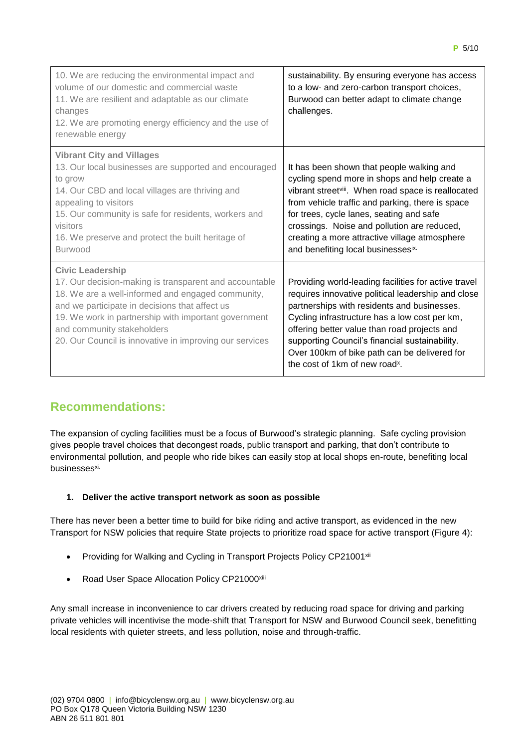| 10. We are reducing the environmental impact and<br>volume of our domestic and commercial waste<br>11. We are resilient and adaptable as our climate<br>changes<br>12. We are promoting energy efficiency and the use of<br>renewable energy                                                                                              | sustainability. By ensuring everyone has access<br>to a low- and zero-carbon transport choices,<br>Burwood can better adapt to climate change<br>challenges.                                                                                                                                                                                                                                               |
|-------------------------------------------------------------------------------------------------------------------------------------------------------------------------------------------------------------------------------------------------------------------------------------------------------------------------------------------|------------------------------------------------------------------------------------------------------------------------------------------------------------------------------------------------------------------------------------------------------------------------------------------------------------------------------------------------------------------------------------------------------------|
| <b>Vibrant City and Villages</b><br>13. Our local businesses are supported and encouraged<br>to grow<br>14. Our CBD and local villages are thriving and<br>appealing to visitors<br>15. Our community is safe for residents, workers and<br>visitors<br>16. We preserve and protect the built heritage of<br><b>Burwood</b>               | It has been shown that people walking and<br>cycling spend more in shops and help create a<br>vibrant street <sup>viii</sup> . When road space is reallocated<br>from vehicle traffic and parking, there is space<br>for trees, cycle lanes, seating and safe<br>crossings. Noise and pollution are reduced,<br>creating a more attractive village atmosphere<br>and benefiting local businessesix.        |
| <b>Civic Leadership</b><br>17. Our decision-making is transparent and accountable<br>18. We are a well-informed and engaged community,<br>and we participate in decisions that affect us<br>19. We work in partnership with important government<br>and community stakeholders<br>20. Our Council is innovative in improving our services | Providing world-leading facilities for active travel<br>requires innovative political leadership and close<br>partnerships with residents and businesses.<br>Cycling infrastructure has a low cost per km,<br>offering better value than road projects and<br>supporting Council's financial sustainability.<br>Over 100km of bike path can be delivered for<br>the cost of 1km of new road <sup>x</sup> . |

# **Recommendations:**

The expansion of cycling facilities must be a focus of Burwood's strategic planning. Safe cycling provision gives people travel choices that decongest roads, public transport and parking, that don't contribute to environmental pollution, and people who ride bikes can easily stop at local shops en-route, benefiting local businesses<sup>xi.</sup>

## **1. Deliver the active transport network as soon as possible**

There has never been a better time to build for bike riding and active transport, as evidenced in the new Transport for NSW policies that require State projects to prioritize road space for active transport (Figure 4):

- Providing for Walking and Cycling in Transport Projects Policy CP21001<sup>xii</sup>
- Road User Space Allocation Policy CP21000<sup>xiii</sup>

Any small increase in inconvenience to car drivers created by reducing road space for driving and parking private vehicles will incentivise the mode-shift that Transport for NSW and Burwood Council seek, benefitting local residents with quieter streets, and less pollution, noise and through-traffic.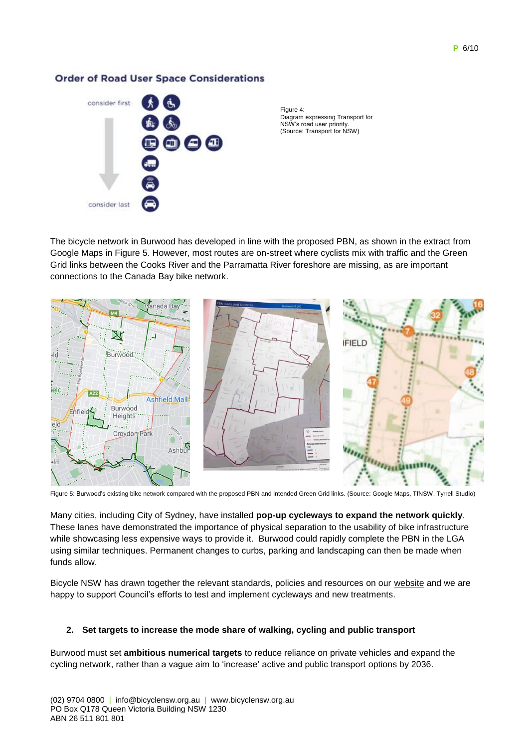### **Order of Road User Space Considerations**



Figure 4: Diagram expressing Transport for NSW's road user priority. (Source: Transport for NSW)

The bicycle network in Burwood has developed in line with the proposed PBN, as shown in the extract from Google Maps in Figure 5. However, most routes are on-street where cyclists mix with traffic and the Green Grid links between the Cooks River and the Parramatta River foreshore are missing, as are important connections to the Canada Bay bike network.



Figure 5: Burwood's existing bike network compared with the proposed PBN and intended Green Grid links. (Source: Google Maps, TfNSW, Tyrrell Studio)

Many cities, including City of Sydney, have installed **pop-up cycleways to expand the network quickly**. These lanes have demonstrated the importance of physical separation to the usability of bike infrastructure while showcasing less expensive ways to provide it. Burwood could rapidly complete the PBN in the LGA using similar techniques. Permanent changes to curbs, parking and landscaping can then be made when funds allow.

Bicycle NSW has drawn together the relevant standards, policies and resources on our [website](https://bicyclensw.org.au/rays-corner/) and we are happy to support Council's efforts to test and implement cycleways and new treatments.

### **2. Set targets to increase the mode share of walking, cycling and public transport**

Burwood must set **ambitious numerical targets** to reduce reliance on private vehicles and expand the cycling network, rather than a vague aim to 'increase' active and public transport options by 2036.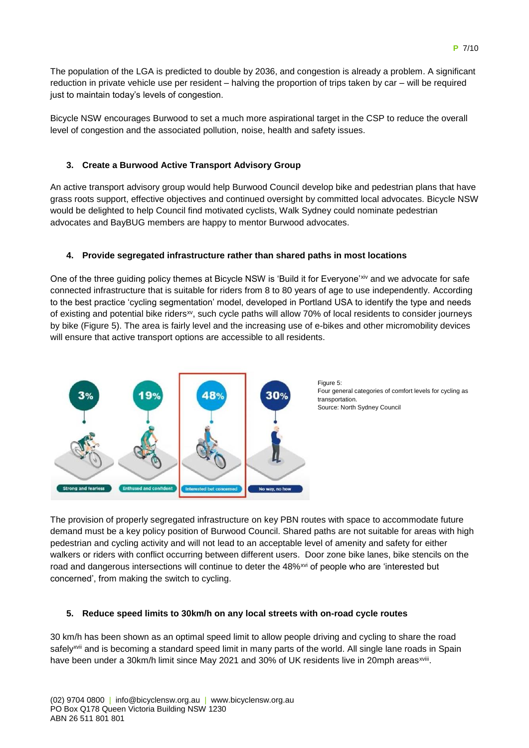The population of the LGA is predicted to double by 2036, and congestion is already a problem. A significant reduction in private vehicle use per resident – halving the proportion of trips taken by car – will be required just to maintain today's levels of congestion.

Bicycle NSW encourages Burwood to set a much more aspirational target in the CSP to reduce the overall level of congestion and the associated pollution, noise, health and safety issues.

### **3. Create a Burwood Active Transport Advisory Group**

An active transport advisory group would help Burwood Council develop bike and pedestrian plans that have grass roots support, effective objectives and continued oversight by committed local advocates. Bicycle NSW would be delighted to help Council find motivated cyclists, Walk Sydney could nominate pedestrian advocates and BayBUG members are happy to mentor Burwood advocates.

### **4. Provide segregated infrastructure rather than shared paths in most locations**

One of the three guiding policy themes at Bicycle NSW is 'Build it for Everyone'xiv and we advocate for safe connected infrastructure that is suitable for riders from 8 to 80 years of age to use independently. According to the best practice 'cycling segmentation' model, developed in Portland USA to identify the type and needs of existing and potential bike ridersxv, such cycle paths will allow 70% of local residents to consider journeys by bike (Figure 5). The area is fairly level and the increasing use of e-bikes and other micromobility devices will ensure that active transport options are accessible to all residents.



Figure 5: Four general categories of comfort levels for cycling as transportation. Source: North Sydney Council

The provision of properly segregated infrastructure on key PBN routes with space to accommodate future demand must be a key policy position of Burwood Council. Shared paths are not suitable for areas with high pedestrian and cycling activity and will not lead to an acceptable level of amenity and safety for either walkers or riders with conflict occurring between different users. Door zone bike lanes, bike stencils on the road and dangerous intersections will continue to deter the 48%<sup>xvi</sup> of people who are 'interested but concerned', from making the switch to cycling.

### **5. Reduce speed limits to 30km/h on any local streets with on-road cycle routes**

30 km/h has been shown as an optimal speed limit to allow people driving and cycling to share the road safely<sup>xvii</sup> and is becoming a standard speed limit in many parts of the world. All single lane roads in Spain have been under a 30km/h limit since May 2021 and 30% of UK residents live in 20mph areas<sup>xviii</sup>.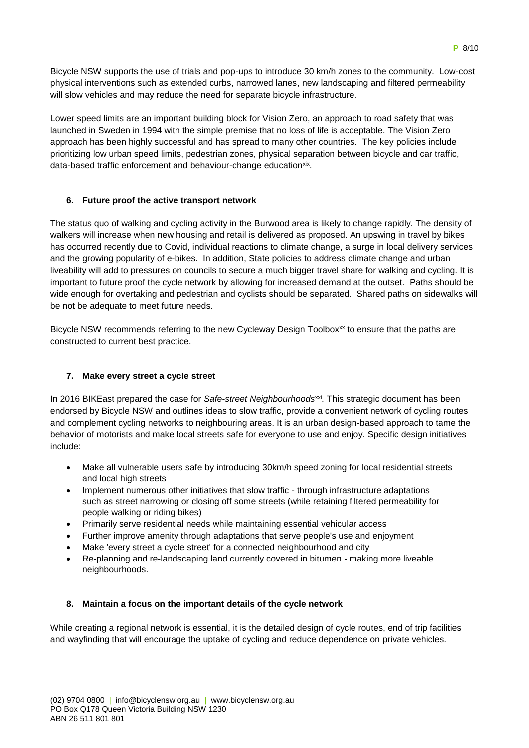Bicycle NSW supports the use of trials and pop-ups to introduce 30 km/h zones to the community. Low-cost physical interventions such as extended curbs, narrowed lanes, new landscaping and filtered permeability will slow vehicles and may reduce the need for separate bicycle infrastructure.

Lower speed limits are an important building block for Vision Zero, an approach to road safety that was launched in Sweden in 1994 with the simple premise that no loss of life is acceptable. The Vision Zero approach has been highly successful and has spread to many other countries. The key policies include prioritizing low urban speed limits, pedestrian zones, physical separation between bicycle and car traffic, data-based traffic enforcement and behaviour-change educationxix.

## **6. Future proof the active transport network**

The status quo of walking and cycling activity in the Burwood area is likely to change rapidly. The density of walkers will increase when new housing and retail is delivered as proposed. An upswing in travel by bikes has occurred recently due to Covid, individual reactions to climate change, a surge in local delivery services and the growing popularity of e-bikes. In addition, State policies to address climate change and urban liveability will add to pressures on councils to secure a much bigger travel share for walking and cycling. It is important to future proof the cycle network by allowing for increased demand at the outset. Paths should be wide enough for overtaking and pedestrian and cyclists should be separated. Shared paths on sidewalks will be not be adequate to meet future needs.

Bicycle NSW recommends referring to the new Cycleway Design Toolbox<sup>xx</sup> to ensure that the paths are constructed to current best practice.

### **7. Make every street a cycle street**

In 2016 BIKEast prepared the case for *Safe-street Neighbourhoods<sup>xxi</sup>*. This strategic document has been endorsed by Bicycle NSW and outlines ideas to slow traffic, provide a convenient network of cycling routes and complement cycling networks to neighbouring areas. It is an urban design-based approach to tame the behavior of motorists and make local streets safe for everyone to use and enjoy. Specific design initiatives include:

- Make all vulnerable users safe by introducing 30km/h speed zoning for local residential streets and local high streets
- Implement numerous other initiatives that slow traffic through infrastructure adaptations such as street narrowing or closing off some streets (while retaining filtered permeability for people walking or riding bikes)
- Primarily serve residential needs while maintaining essential vehicular access
- Further improve amenity through adaptations that serve people's use and enjoyment
- Make 'every street a cycle street' for a connected neighbourhood and city
- Re-planning and re-landscaping land currently covered in bitumen making more liveable neighbourhoods.

### **8. Maintain a focus on the important details of the cycle network**

While creating a regional network is essential, it is the detailed design of cycle routes, end of trip facilities and wayfinding that will encourage the uptake of cycling and reduce dependence on private vehicles.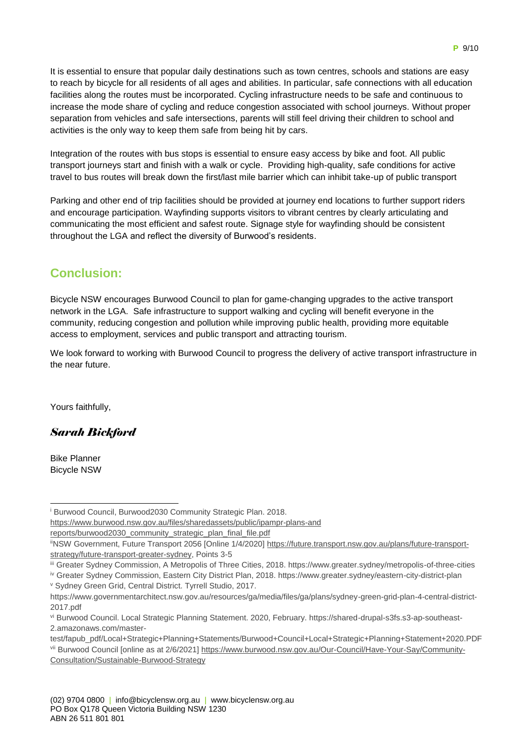It is essential to ensure that popular daily destinations such as town centres, schools and stations are easy to reach by bicycle for all residents of all ages and abilities. In particular, safe connections with all education facilities along the routes must be incorporated. Cycling infrastructure needs to be safe and continuous to increase the mode share of cycling and reduce congestion associated with school journeys. Without proper separation from vehicles and safe intersections, parents will still feel driving their children to school and activities is the only way to keep them safe from being hit by cars.

Integration of the routes with bus stops is essential to ensure easy access by bike and foot. All public transport journeys start and finish with a walk or cycle. Providing high-quality, safe conditions for active travel to bus routes will break down the first/last mile barrier which can inhibit take-up of public transport

Parking and other end of trip facilities should be provided at journey end locations to further support riders and encourage participation. Wayfinding supports visitors to vibrant centres by clearly articulating and communicating the most efficient and safest route. Signage style for wayfinding should be consistent throughout the LGA and reflect the diversity of Burwood's residents.

# **Conclusion:**

Bicycle NSW encourages Burwood Council to plan for game-changing upgrades to the active transport network in the LGA. Safe infrastructure to support walking and cycling will benefit everyone in the community, reducing congestion and pollution while improving public health, providing more equitable access to employment, services and public transport and attracting tourism.

We look forward to working with Burwood Council to progress the delivery of active transport infrastructure in the near future.

Yours faithfully,

*Sarah Bickford*

Bike Planner Bicycle NSW

-

[https://www.burwood.nsw.gov.au/files/sharedassets/public/ipampr-plans-and](https://www.burwood.nsw.gov.au/files/sharedassets/public/ipampr-plans-and%20reports/burwood2030_community_strategic_plan_final_file.pdf) 

[reports/burwood2030\\_community\\_strategic\\_plan\\_final\\_file.pdf](https://www.burwood.nsw.gov.au/files/sharedassets/public/ipampr-plans-and%20reports/burwood2030_community_strategic_plan_final_file.pdf)

<sup>i</sup> Burwood Council, Burwood2030 Community Strategic Plan. 2018.

iiNSW Government, Future Transport 2056 [Online 1/4/2020] [https://future.transport.nsw.gov.au/plans/future-transport](https://future.transport.nsw.gov.au/plans/future-transport-strategy/future-transport-greater-sydney)[strategy/future-transport-greater-sydney,](https://future.transport.nsw.gov.au/plans/future-transport-strategy/future-transport-greater-sydney) Points 3-5

iii Greater Sydney Commission, A Metropolis of Three Cities, 2018. https://www.greater.sydney/metropolis-of-three-cities

iv Greater Sydney Commission, Eastern City District Plan, 2018. https://www.greater.sydney/eastern-city-district-plan

<sup>v</sup> Sydney Green Grid, Central District. Tyrrell Studio, 2017.

https://www.governmentarchitect.nsw.gov.au/resources/ga/media/files/ga/plans/sydney-green-grid-plan-4-central-district-2017.pdf

vi Burwood Council. Local Strategic Planning Statement. 2020, February. https://shared-drupal-s3fs.s3-ap-southeast-2.amazonaws.com/master-

test/fapub\_pdf/Local+Strategic+Planning+Statements/Burwood+Council+Local+Strategic+Planning+Statement+2020.PDF vii Burwood Council [online as at 2/6/2021[\] https://www.burwood.nsw.gov.au/Our-Council/Have-Your-Say/Community-](https://www.burwood.nsw.gov.au/Our-Council/Have-Your-Say/Community-Consultation/Sustainable-Burwood-Strategy)[Consultation/Sustainable-Burwood-Strategy](https://www.burwood.nsw.gov.au/Our-Council/Have-Your-Say/Community-Consultation/Sustainable-Burwood-Strategy)